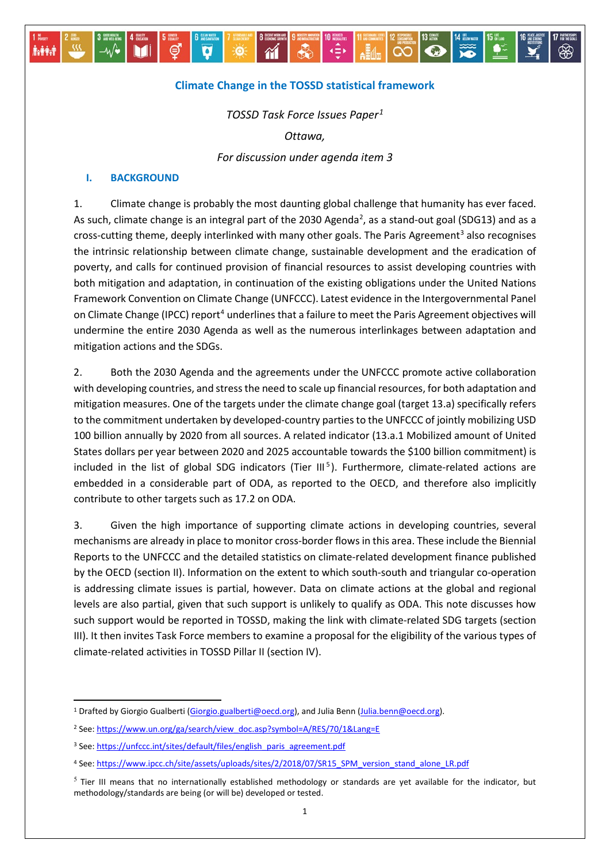### **Climate Change in the TOSSD statistical framework**

道

 $\overline{\mathbf{a}}$ 

 $\mathbf{\hat{M}}$ 

 $\overline{A}$ 

 $A$ 

ထြ

 $\bullet$ 

*TOSSD Task Force Issues Paper[1](#page-0-0)*

*Ottawa,* 

*For discussion under agenda item 3*

#### **I. BACKGROUND**

Mi

**Ashipa** 

1. Climate change is probably the most daunting global challenge that humanity has ever faced. As such, climate change is an integral part of the [2](#page-0-1)030 Agenda<sup>2</sup>, as a stand-out goal (SDG13) and as a cross-cutting theme, deeply interlinked with many other goals. The Paris Agreement<sup>[3](#page-0-2)</sup> also recognises the intrinsic relationship between climate change, sustainable development and the eradication of poverty, and calls for continued provision of financial resources to assist developing countries with both mitigation and adaptation, in continuation of the existing obligations under the United Nations Framework Convention on Climate Change (UNFCCC). Latest evidence in the Intergovernmental Panel on Climate Change (IPCC) report<sup>[4](#page-0-3)</sup> underlines that a failure to meet the Paris Agreement objectives will undermine the entire 2030 Agenda as well as the numerous interlinkages between adaptation and mitigation actions and the SDGs.

2. Both the 2030 Agenda and the agreements under the UNFCCC promote active collaboration with developing countries, and stress the need to scale up financial resources, for both adaptation and mitigation measures. One of the targets under the climate change goal (target 13.a) specifically refers to the commitment undertaken by developed-country parties to the UNFCCC of jointly mobilizing USD 100 billion annually by 2020 from all sources. A related indicator (13.a.1 Mobilized amount of United States dollars per year between 2020 and 2025 accountable towards the \$100 billion commitment) is included in the list of global SDG indicators (Tier III<sup>[5](#page-0-4)</sup>). Furthermore, climate-related actions are embedded in a considerable part of ODA, as reported to the OECD, and therefore also implicitly contribute to other targets such as 17.2 on ODA.

3. Given the high importance of supporting climate actions in developing countries, several mechanisms are already in place to monitor cross-border flows in this area. These include the Biennial Reports to the UNFCCC and the detailed statistics on climate-related development finance published by the OECD (section II). Information on the extent to which south-south and triangular co-operation is addressing climate issues is partial, however. Data on climate actions at the global and regional levels are also partial, given that such support is unlikely to qualify as ODA. This note discusses how such support would be reported in TOSSD, making the link with climate-related SDG targets (section III). It then invites Task Force members to examine a proposal for the eligibility of the various types of climate-related activities in TOSSD Pillar II (section IV).

<span id="page-0-0"></span><sup>&</sup>lt;sup>1</sup> Drafted by Giorgio Gualberti [\(Giorgio.gualberti@oecd.org\)](mailto:Giorgio.gualberti@oecd.org), and Julia Benn [\(Julia.benn@oecd.org\)](mailto:Julia.benn@oecd.org).

<span id="page-0-1"></span><sup>2</sup> See[: https://www.un.org/ga/search/view\\_doc.asp?symbol=A/RES/70/1&Lang=E](https://www.un.org/ga/search/view_doc.asp?symbol=A/RES/70/1&Lang=E)

<span id="page-0-2"></span><sup>&</sup>lt;sup>3</sup> See[: https://unfccc.int/sites/default/files/english\\_paris\\_agreement.pdf](https://unfccc.int/sites/default/files/english_paris_agreement.pdf)

<span id="page-0-3"></span><sup>4</sup> See[: https://www.ipcc.ch/site/assets/uploads/sites/2/2018/07/SR15\\_SPM\\_version\\_stand\\_alone\\_LR.pdf](https://www.ipcc.ch/site/assets/uploads/sites/2/2018/07/SR15_SPM_version_stand_alone_LR.pdf)

<span id="page-0-4"></span> $<sup>5</sup>$  Tier III means that no internationally established methodology or standards are yet available for the indicator, but</sup> methodology/standards are being (or will be) developed or tested.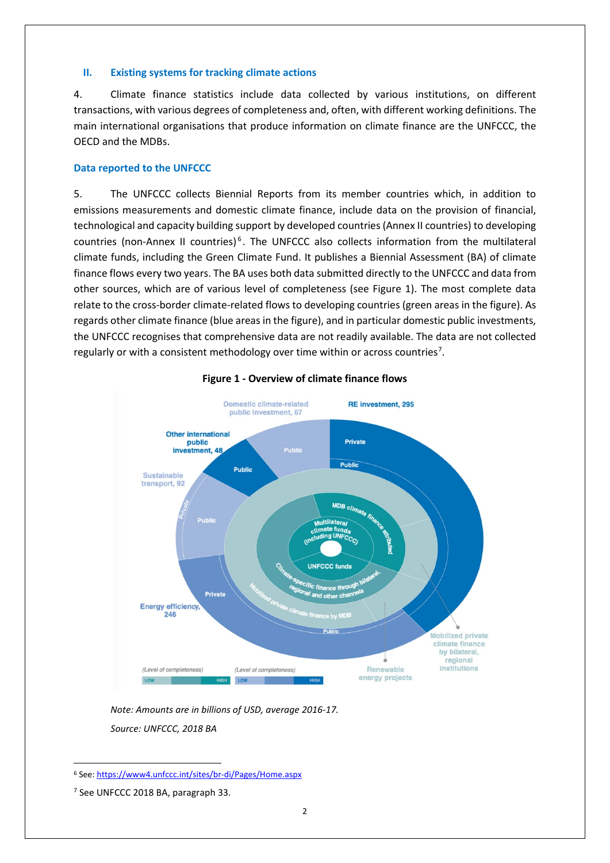### **II. Existing systems for tracking climate actions**

4. Climate finance statistics include data collected by various institutions, on different transactions, with various degrees of completeness and, often, with different working definitions. The main international organisations that produce information on climate finance are the UNFCCC, the OECD and the MDBs.

## **Data reported to the UNFCCC**

5. The UNFCCC collects Biennial Reports from its member countries which, in addition to emissions measurements and domestic climate finance, include data on the provision of financial, technological and capacity building support by developed countries (Annex II countries) to developing countries (non-Annex II countries) [6](#page-1-0) . The UNFCCC also collects information from the multilateral climate funds, including the Green Climate Fund. It publishes a Biennial Assessment (BA) of climate finance flows every two years. The BA uses both data submitted directly to the UNFCCC and data from other sources, which are of various level of completeness (see Figure 1). The most complete data relate to the cross-border climate-related flows to developing countries (green areas in the figure). As regards other climate finance (blue areas in the figure), and in particular domestic public investments, the UNFCCC recognises that comprehensive data are not readily available. The data are not collected regularly or with a consistent methodology over time within or across countries<sup>[7](#page-1-1)</sup>.



## **Figure 1 - Overview of climate finance flows**

*Note: Amounts are in billions of USD, average 2016-17. Source: UNFCCC, 2018 BA*

<span id="page-1-0"></span> <sup>6</sup> See[: https://www4.unfccc.int/sites/br-di/Pages/Home.aspx](https://www4.unfccc.int/sites/br-di/Pages/Home.aspx)

<span id="page-1-1"></span><sup>7</sup> See UNFCCC 2018 BA, paragraph 33.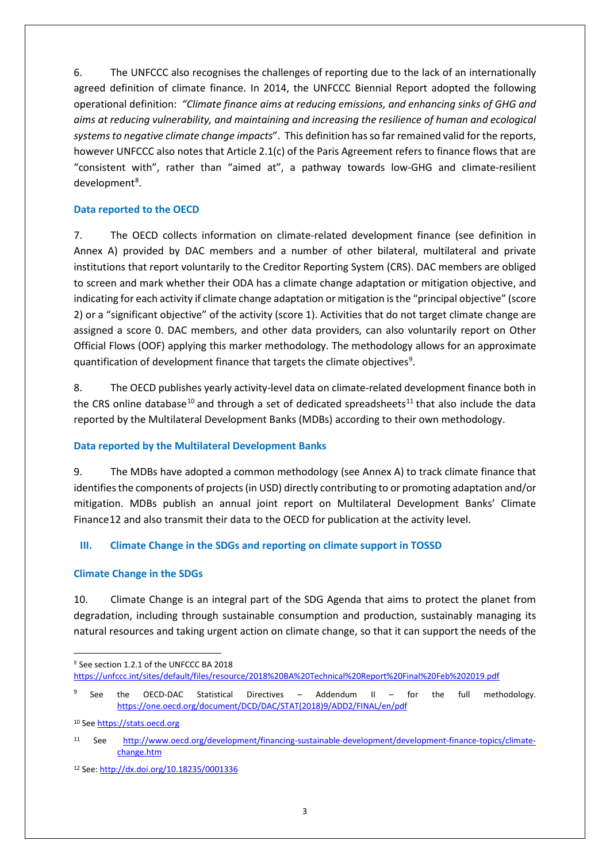6. The UNFCCC also recognises the challenges of reporting due to the lack of an internationally agreed definition of climate finance. In 2014, the UNFCCC Biennial Report adopted the following operational definition: *"Climate finance aims at reducing emissions, and enhancing sinks of GHG and aims at reducing vulnerability, and maintaining and increasing the resilience of human and ecological systems to negative climate change impacts*". This definition hasso far remained valid for the reports, however UNFCCC also notes that Article 2.1(c) of the Paris Agreement refers to finance flows that are "consistent with", rather than "aimed at", a pathway towards low-GHG and climate-resilient development<sup>[8](#page-2-0)</sup>.

## **Data reported to the OECD**

7. The OECD collects information on climate-related development finance (see definition in Annex A) provided by DAC members and a number of other bilateral, multilateral and private institutions that report voluntarily to the Creditor Reporting System (CRS). DAC members are obliged to screen and mark whether their ODA has a climate change adaptation or mitigation objective, and indicating for each activity if climate change adaptation or mitigation is the "principal objective" (score 2) or a "significant objective" of the activity (score 1). Activities that do not target climate change are assigned a score 0. DAC members, and other data providers, can also voluntarily report on Other Official Flows (OOF) applying this marker methodology. The methodology allows for an approximate quantification of development finance that targets the climate objectives<sup>[9](#page-2-1)</sup>.

8. The OECD publishes yearly activity-level data on climate-related development finance both in the CRS online database<sup>[10](#page-2-2)</sup> and through a set of dedicated spreadsheets<sup>[11](#page-2-3)</sup> that also include the data reported by the Multilateral Development Banks (MDBs) according to their own methodology.

# **Data reported by the Multilateral Development Banks**

9. The MDBs have adopted a common methodology (see Annex A) to track climate finance that identifies the components of projects(in USD) directly contributing to or promoting adaptation and/or mitigation. MDBs publish an annual joint report on Multilateral Development Banks' Climate Finance[12](#page-2-4) and also transmit their data to the OECD for publication at the activity level.

# **III. Climate Change in the SDGs and reporting on climate support in TOSSD**

## **Climate Change in the SDGs**

10. Climate Change is an integral part of the SDG Agenda that aims to protect the planet from degradation, including through sustainable consumption and production, sustainably managing its natural resources and taking urgent action on climate change, so that it can support the needs of the

<u>.</u>

<span id="page-2-0"></span><sup>8</sup> See section 1.2.1 of the UNFCCC BA 2018 <https://unfccc.int/sites/default/files/resource/2018%20BA%20Technical%20Report%20Final%20Feb%202019.pdf>

<span id="page-2-1"></span><sup>9</sup> See the OECD-DAC Statistical Directives – Addendum II – for the full methodology. [https://one.oecd.org/document/DCD/DAC/STAT\(2018\)9/ADD2/FINAL/en/pdf](https://one.oecd.org/document/DCD/DAC/STAT(2018)9/ADD2/FINAL/en/pdf)

<span id="page-2-2"></span><sup>10</sup> Se[e https://stats.oecd.org](https://stats.oecd.org/)

<span id="page-2-3"></span><sup>11</sup> See [http://www.oecd.org/development/financing-sustainable-development/development-finance-topics/climate](http://www.oecd.org/development/financing-sustainable-development/development-finance-topics/climate-change.htm)[change.htm](http://www.oecd.org/development/financing-sustainable-development/development-finance-topics/climate-change.htm)

<span id="page-2-4"></span><sup>12</sup> See[: http://dx.doi.org/10.18235/0001336](http://dx.doi.org/10.18235/0001336)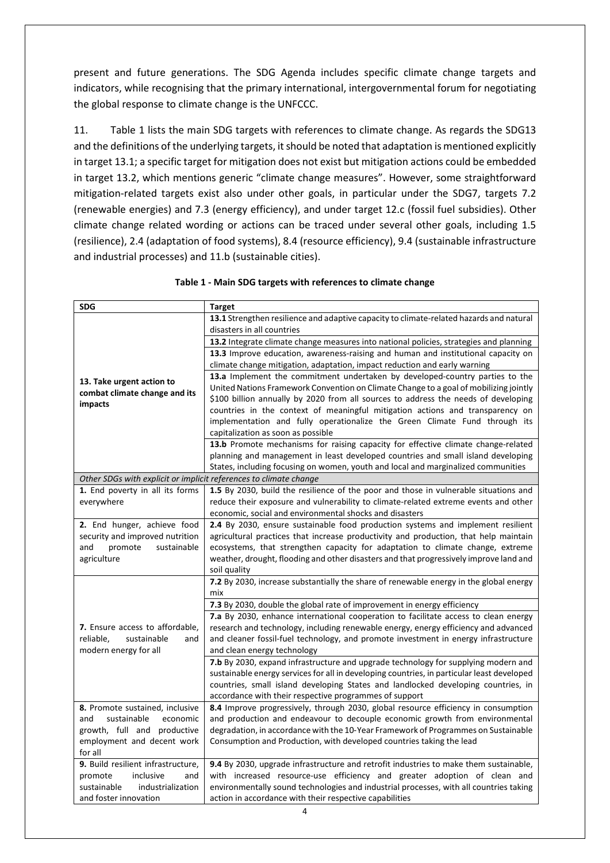present and future generations. The SDG Agenda includes specific climate change targets and indicators, while recognising that the primary international, intergovernmental forum for negotiating the global response to climate change is the UNFCCC.

11. Table 1 lists the main SDG targets with references to climate change. As regards the SDG13 and the definitions of the underlying targets, it should be noted that adaptation is mentioned explicitly in target 13.1; a specific target for mitigation does not exist but mitigation actions could be embedded in target 13.2, which mentions generic "climate change measures". However, some straightforward mitigation-related targets exist also under other goals, in particular under the SDG7, targets 7.2 (renewable energies) and 7.3 (energy efficiency), and under target 12.c (fossil fuel subsidies). Other climate change related wording or actions can be traced under several other goals, including 1.5 (resilience), 2.4 (adaptation of food systems), 8.4 (resource efficiency), 9.4 (sustainable infrastructure and industrial processes) and 11.b (sustainable cities).

| <b>SDG</b>                                                        | <b>Target</b>                                                                                                                                                              |
|-------------------------------------------------------------------|----------------------------------------------------------------------------------------------------------------------------------------------------------------------------|
|                                                                   | 13.1 Strengthen resilience and adaptive capacity to climate-related hazards and natural                                                                                    |
|                                                                   | disasters in all countries                                                                                                                                                 |
|                                                                   | 13.2 Integrate climate change measures into national policies, strategies and planning                                                                                     |
|                                                                   | 13.3 Improve education, awareness-raising and human and institutional capacity on                                                                                          |
|                                                                   | climate change mitigation, adaptation, impact reduction and early warning                                                                                                  |
|                                                                   | 13.a Implement the commitment undertaken by developed-country parties to the                                                                                               |
| 13. Take urgent action to                                         | United Nations Framework Convention on Climate Change to a goal of mobilizing jointly                                                                                      |
| combat climate change and its<br>impacts                          | \$100 billion annually by 2020 from all sources to address the needs of developing                                                                                         |
|                                                                   | countries in the context of meaningful mitigation actions and transparency on                                                                                              |
|                                                                   | implementation and fully operationalize the Green Climate Fund through its                                                                                                 |
|                                                                   | capitalization as soon as possible                                                                                                                                         |
|                                                                   | 13.b Promote mechanisms for raising capacity for effective climate change-related                                                                                          |
|                                                                   | planning and management in least developed countries and small island developing                                                                                           |
|                                                                   | States, including focusing on women, youth and local and marginalized communities                                                                                          |
| Other SDGs with explicit or implicit references to climate change |                                                                                                                                                                            |
| 1. End poverty in all its forms                                   | 1.5 By 2030, build the resilience of the poor and those in vulnerable situations and                                                                                       |
| everywhere                                                        | reduce their exposure and vulnerability to climate-related extreme events and other                                                                                        |
|                                                                   | economic, social and environmental shocks and disasters                                                                                                                    |
| 2. End hunger, achieve food                                       | 2.4 By 2030, ensure sustainable food production systems and implement resilient                                                                                            |
| security and improved nutrition                                   | agricultural practices that increase productivity and production, that help maintain                                                                                       |
| and<br>sustainable<br>promote                                     | ecosystems, that strengthen capacity for adaptation to climate change, extreme                                                                                             |
| agriculture                                                       | weather, drought, flooding and other disasters and that progressively improve land and                                                                                     |
|                                                                   | soil quality                                                                                                                                                               |
|                                                                   | 7.2 By 2030, increase substantially the share of renewable energy in the global energy                                                                                     |
|                                                                   | mix                                                                                                                                                                        |
|                                                                   | 7.3 By 2030, double the global rate of improvement in energy efficiency<br>7.a By 2030, enhance international cooperation to facilitate access to clean energy             |
| 7. Ensure access to affordable,                                   |                                                                                                                                                                            |
| reliable,<br>sustainable<br>and                                   | research and technology, including renewable energy, energy efficiency and advanced<br>and cleaner fossil-fuel technology, and promote investment in energy infrastructure |
| modern energy for all                                             | and clean energy technology                                                                                                                                                |
|                                                                   | 7.b By 2030, expand infrastructure and upgrade technology for supplying modern and                                                                                         |
|                                                                   | sustainable energy services for all in developing countries, in particular least developed                                                                                 |
|                                                                   | countries, small island developing States and landlocked developing countries, in                                                                                          |
|                                                                   | accordance with their respective programmes of support                                                                                                                     |
| 8. Promote sustained, inclusive                                   | 8.4 Improve progressively, through 2030, global resource efficiency in consumption                                                                                         |
| and<br>sustainable<br>economic                                    | and production and endeavour to decouple economic growth from environmental                                                                                                |
| growth, full and productive                                       | degradation, in accordance with the 10-Year Framework of Programmes on Sustainable                                                                                         |
| employment and decent work                                        | Consumption and Production, with developed countries taking the lead                                                                                                       |
| for all                                                           |                                                                                                                                                                            |
| 9. Build resilient infrastructure,                                | 9.4 By 2030, upgrade infrastructure and retrofit industries to make them sustainable,                                                                                      |
| inclusive<br>promote<br>and                                       | with increased resource-use efficiency and greater adoption of clean and                                                                                                   |
| sustainable<br>industrialization                                  | environmentally sound technologies and industrial processes, with all countries taking                                                                                     |
| and foster innovation                                             | action in accordance with their respective capabilities                                                                                                                    |

#### **Table 1 - Main SDG targets with references to climate change**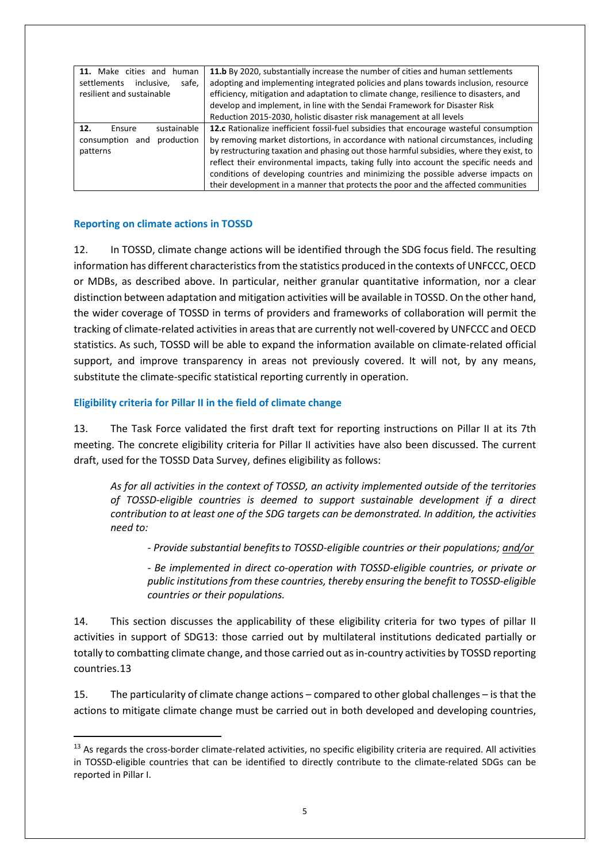| 11. Make cities and<br>human<br>safe.<br>settlements<br>inclusive.<br>resilient and sustainable | 11.b By 2020, substantially increase the number of cities and human settlements<br>adopting and implementing integrated policies and plans towards inclusion, resource<br>efficiency, mitigation and adaptation to climate change, resilience to disasters, and<br>develop and implement, in line with the Sendai Framework for Disaster Risk<br>Reduction 2015-2030, holistic disaster risk management at all levels                                                                                                                        |
|-------------------------------------------------------------------------------------------------|----------------------------------------------------------------------------------------------------------------------------------------------------------------------------------------------------------------------------------------------------------------------------------------------------------------------------------------------------------------------------------------------------------------------------------------------------------------------------------------------------------------------------------------------|
| sustainable<br>12.<br>Ensure<br>production<br>consumption<br>and<br>patterns                    | 12.c Rationalize inefficient fossil-fuel subsidies that encourage wasteful consumption<br>by removing market distortions, in accordance with national circumstances, including<br>by restructuring taxation and phasing out those harmful subsidies, where they exist, to<br>reflect their environmental impacts, taking fully into account the specific needs and<br>conditions of developing countries and minimizing the possible adverse impacts on<br>their development in a manner that protects the poor and the affected communities |

### **Reporting on climate actions in TOSSD**

12. In TOSSD, climate change actions will be identified through the SDG focus field. The resulting information has different characteristics from the statistics produced in the contexts of UNFCCC, OECD or MDBs, as described above. In particular, neither granular quantitative information, nor a clear distinction between adaptation and mitigation activities will be available in TOSSD. On the other hand, the wider coverage of TOSSD in terms of providers and frameworks of collaboration will permit the tracking of climate-related activities in areas that are currently not well-covered by UNFCCC and OECD statistics. As such, TOSSD will be able to expand the information available on climate-related official support, and improve transparency in areas not previously covered. It will not, by any means, substitute the climate-specific statistical reporting currently in operation.

### **Eligibility criteria for Pillar II in the field of climate change**

13. The Task Force validated the first draft text for reporting instructions on Pillar II at its 7th meeting. The concrete eligibility criteria for Pillar II activities have also been discussed. The current draft, used for the TOSSD Data Survey, defines eligibility as follows:

*As for all activities in the context of TOSSD, an activity implemented outside of the territories of TOSSD-eligible countries is deemed to support sustainable development if a direct contribution to at least one of the SDG targets can be demonstrated. In addition, the activities need to:* 

*- Provide substantial benefitsto TOSSD-eligible countries or their populations; and/or*

*- Be implemented in direct co-operation with TOSSD-eligible countries, or private or public institutions from these countries, thereby ensuring the benefit to TOSSD-eligible countries or their populations.* 

14. This section discusses the applicability of these eligibility criteria for two types of pillar II activities in support of SDG13: those carried out by multilateral institutions dedicated partially or totally to combatting climate change, and those carried out as in-country activities by TOSSD reporting countries.[13](#page-4-0)

15. The particularity of climate change actions – compared to other global challenges – is that the actions to mitigate climate change must be carried out in both developed and developing countries,

<span id="page-4-0"></span><sup>&</sup>lt;sup>13</sup> As regards the cross-border climate-related activities, no specific eligibility criteria are required. All activities in TOSSD-eligible countries that can be identified to directly contribute to the climate-related SDGs can be reported in Pillar I.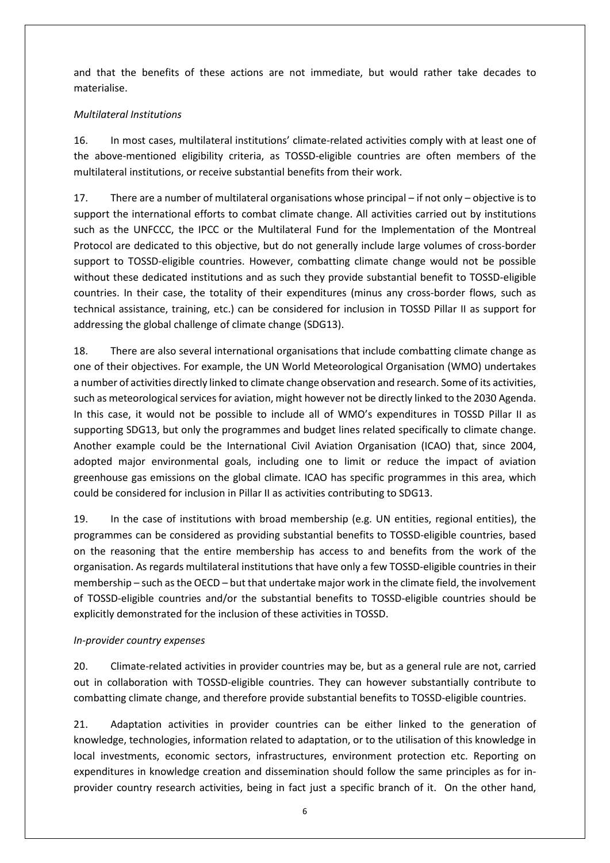and that the benefits of these actions are not immediate, but would rather take decades to materialise.

## *Multilateral Institutions*

16. In most cases, multilateral institutions' climate-related activities comply with at least one of the above-mentioned eligibility criteria, as TOSSD-eligible countries are often members of the multilateral institutions, or receive substantial benefits from their work.

17. There are a number of multilateral organisations whose principal – if not only – objective is to support the international efforts to combat climate change. All activities carried out by institutions such as the UNFCCC, the IPCC or the Multilateral Fund for the Implementation of the Montreal Protocol are dedicated to this objective, but do not generally include large volumes of cross-border support to TOSSD-eligible countries. However, combatting climate change would not be possible without these dedicated institutions and as such they provide substantial benefit to TOSSD-eligible countries. In their case, the totality of their expenditures (minus any cross-border flows, such as technical assistance, training, etc.) can be considered for inclusion in TOSSD Pillar II as support for addressing the global challenge of climate change (SDG13).

18. There are also several international organisations that include combatting climate change as one of their objectives. For example, the UN World Meteorological Organisation (WMO) undertakes a number of activities directly linked to climate change observation and research. Some of its activities, such as meteorological services for aviation, might however not be directly linked to the 2030 Agenda. In this case, it would not be possible to include all of WMO's expenditures in TOSSD Pillar II as supporting SDG13, but only the programmes and budget lines related specifically to climate change. Another example could be the International Civil Aviation Organisation (ICAO) that, since 2004, adopted major environmental goals, including one to limit or reduce the impact of aviation greenhouse gas emissions on the global climate. ICAO has specific programmes in this area, which could be considered for inclusion in Pillar II as activities contributing to SDG13.

19. In the case of institutions with broad membership (e.g. UN entities, regional entities), the programmes can be considered as providing substantial benefits to TOSSD-eligible countries, based on the reasoning that the entire membership has access to and benefits from the work of the organisation. As regards multilateral institutions that have only a few TOSSD-eligible countries in their membership – such as the OECD – but that undertake major work in the climate field, the involvement of TOSSD-eligible countries and/or the substantial benefits to TOSSD-eligible countries should be explicitly demonstrated for the inclusion of these activities in TOSSD.

## *In-provider country expenses*

20. Climate-related activities in provider countries may be, but as a general rule are not, carried out in collaboration with TOSSD-eligible countries. They can however substantially contribute to combatting climate change, and therefore provide substantial benefits to TOSSD-eligible countries.

21. Adaptation activities in provider countries can be either linked to the generation of knowledge, technologies, information related to adaptation, or to the utilisation of this knowledge in local investments, economic sectors, infrastructures, environment protection etc. Reporting on expenditures in knowledge creation and dissemination should follow the same principles as for inprovider country research activities, being in fact just a specific branch of it. On the other hand,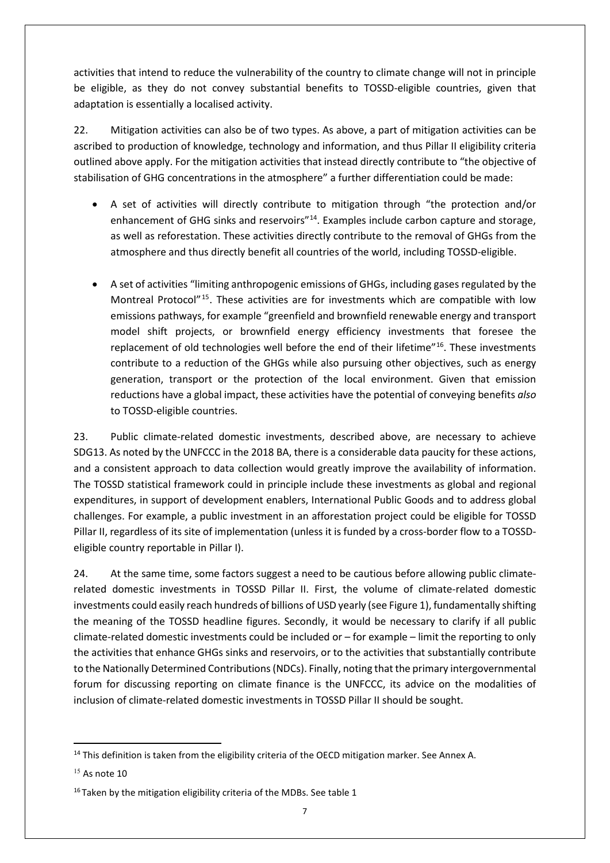activities that intend to reduce the vulnerability of the country to climate change will not in principle be eligible, as they do not convey substantial benefits to TOSSD-eligible countries, given that adaptation is essentially a localised activity.

22. Mitigation activities can also be of two types. As above, a part of mitigation activities can be ascribed to production of knowledge, technology and information, and thus Pillar II eligibility criteria outlined above apply. For the mitigation activities that instead directly contribute to "the objective of stabilisation of GHG concentrations in the atmosphere" a further differentiation could be made:

- A set of activities will directly contribute to mitigation through "the protection and/or enhancement of GHG sinks and reservoirs<sup>"[14](#page-6-0)</sup>. Examples include carbon capture and storage, as well as reforestation. These activities directly contribute to the removal of GHGs from the atmosphere and thus directly benefit all countries of the world, including TOSSD-eligible.
- A set of activities "limiting anthropogenic emissions of GHGs, including gases regulated by the Montreal Protocol"[15](#page-6-1). These activities are for investments which are compatible with low emissions pathways, for example "greenfield and brownfield renewable energy and transport model shift projects, or brownfield energy efficiency investments that foresee the replacement of old technologies well before the end of their lifetime"<sup>[16](#page-6-2)</sup>. These investments contribute to a reduction of the GHGs while also pursuing other objectives, such as energy generation, transport or the protection of the local environment. Given that emission reductions have a global impact, these activities have the potential of conveying benefits *also* to TOSSD-eligible countries.

23. Public climate-related domestic investments, described above, are necessary to achieve SDG13. As noted by the UNFCCC in the 2018 BA, there is a considerable data paucity for these actions, and a consistent approach to data collection would greatly improve the availability of information. The TOSSD statistical framework could in principle include these investments as global and regional expenditures, in support of development enablers, International Public Goods and to address global challenges. For example, a public investment in an afforestation project could be eligible for TOSSD Pillar II, regardless of its site of implementation (unless it is funded by a cross-border flow to a TOSSDeligible country reportable in Pillar I).

24. At the same time, some factors suggest a need to be cautious before allowing public climaterelated domestic investments in TOSSD Pillar II. First, the volume of climate-related domestic investments could easily reach hundreds of billions of USD yearly (see Figure 1), fundamentally shifting the meaning of the TOSSD headline figures. Secondly, it would be necessary to clarify if all public climate-related domestic investments could be included or – for example – limit the reporting to only the activities that enhance GHGs sinks and reservoirs, or to the activities that substantially contribute to the Nationally Determined Contributions (NDCs). Finally, noting that the primary intergovernmental forum for discussing reporting on climate finance is the UNFCCC, its advice on the modalities of inclusion of climate-related domestic investments in TOSSD Pillar II should be sought.

<span id="page-6-0"></span> $14$  This definition is taken from the eligibility criteria of the OECD mitigation marker. See Annex A.

<span id="page-6-1"></span> $15$  As note 10

<span id="page-6-2"></span> $16$  Taken by the mitigation eligibility criteria of the MDBs. See table 1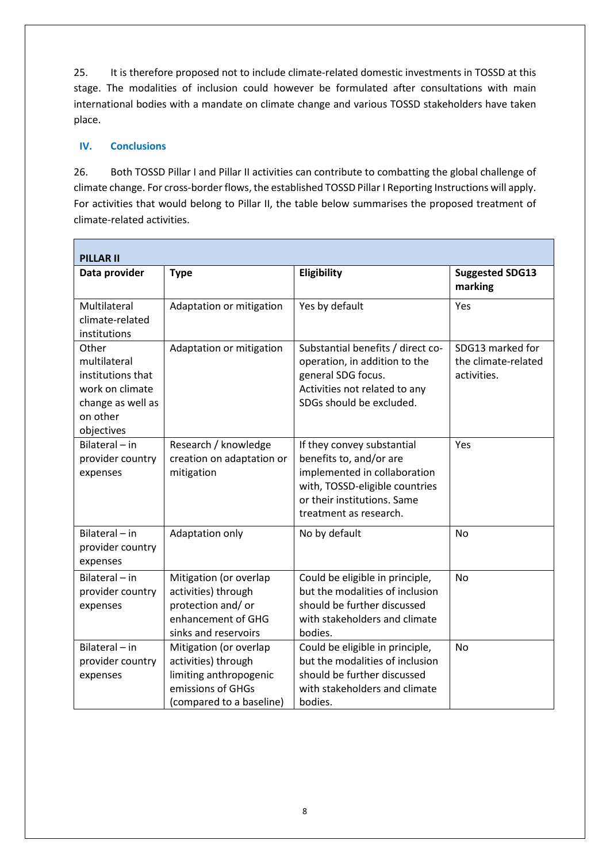25. It is therefore proposed not to include climate-related domestic investments in TOSSD at this stage. The modalities of inclusion could however be formulated after consultations with main international bodies with a mandate on climate change and various TOSSD stakeholders have taken place.

### **IV. Conclusions**

26. Both TOSSD Pillar I and Pillar II activities can contribute to combatting the global challenge of climate change. For cross-border flows, the established TOSSD Pillar I Reporting Instructions will apply. For activities that would belong to Pillar II, the table below summarises the proposed treatment of climate-related activities.

| <b>PILLAR II</b>                                                                                             |                                                                                                                          |                                                                                                                                                                                  |                                                        |  |  |
|--------------------------------------------------------------------------------------------------------------|--------------------------------------------------------------------------------------------------------------------------|----------------------------------------------------------------------------------------------------------------------------------------------------------------------------------|--------------------------------------------------------|--|--|
| Data provider                                                                                                | <b>Type</b>                                                                                                              | Eligibility                                                                                                                                                                      | <b>Suggested SDG13</b><br>marking                      |  |  |
| Multilateral<br>climate-related<br>institutions                                                              | Adaptation or mitigation                                                                                                 | Yes by default                                                                                                                                                                   | Yes                                                    |  |  |
| Other<br>multilateral<br>institutions that<br>work on climate<br>change as well as<br>on other<br>objectives | Adaptation or mitigation                                                                                                 | Substantial benefits / direct co-<br>operation, in addition to the<br>general SDG focus.<br>Activities not related to any<br>SDGs should be excluded.                            | SDG13 marked for<br>the climate-related<br>activities. |  |  |
| Bilateral - in<br>provider country<br>expenses                                                               | Research / knowledge<br>creation on adaptation or<br>mitigation                                                          | If they convey substantial<br>benefits to, and/or are<br>implemented in collaboration<br>with, TOSSD-eligible countries<br>or their institutions. Same<br>treatment as research. | Yes                                                    |  |  |
| Bilateral-in<br>provider country<br>expenses                                                                 | Adaptation only                                                                                                          | No by default                                                                                                                                                                    | <b>No</b>                                              |  |  |
| Bilateral $-$ in<br>provider country<br>expenses                                                             | Mitigation (or overlap<br>activities) through<br>protection and/or<br>enhancement of GHG<br>sinks and reservoirs         | Could be eligible in principle,<br>but the modalities of inclusion<br>should be further discussed<br>with stakeholders and climate<br>bodies.                                    | <b>No</b>                                              |  |  |
| Bilateral $-$ in<br>provider country<br>expenses                                                             | Mitigation (or overlap<br>activities) through<br>limiting anthropogenic<br>emissions of GHGs<br>(compared to a baseline) | Could be eligible in principle,<br>but the modalities of inclusion<br>should be further discussed<br>with stakeholders and climate<br>bodies.                                    | <b>No</b>                                              |  |  |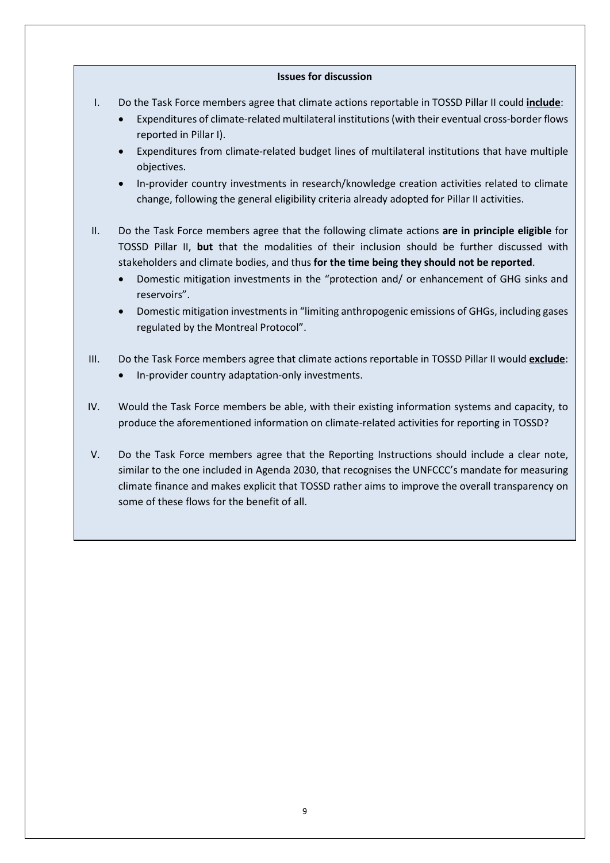### **Issues for discussion**

- I. Do the Task Force members agree that climate actions reportable in TOSSD Pillar II could **include**:
	- Expenditures of climate-related multilateral institutions (with their eventual cross-border flows reported in Pillar I).
	- Expenditures from climate-related budget lines of multilateral institutions that have multiple objectives.
	- In-provider country investments in research/knowledge creation activities related to climate change, following the general eligibility criteria already adopted for Pillar II activities.
- II. Do the Task Force members agree that the following climate actions **are in principle eligible** for TOSSD Pillar II, **but** that the modalities of their inclusion should be further discussed with stakeholders and climate bodies, and thus **for the time being they should not be reported**.
	- Domestic mitigation investments in the "protection and/ or enhancement of GHG sinks and reservoirs".
	- Domestic mitigation investments in "limiting anthropogenic emissions of GHGs, including gases regulated by the Montreal Protocol".
- III. Do the Task Force members agree that climate actions reportable in TOSSD Pillar II would **exclude**: • In-provider country adaptation-only investments.
- IV. Would the Task Force members be able, with their existing information systems and capacity, to produce the aforementioned information on climate-related activities for reporting in TOSSD?
- V. Do the Task Force members agree that the Reporting Instructions should include a clear note, similar to the one included in Agenda 2030, that recognises the UNFCCC's mandate for measuring climate finance and makes explicit that TOSSD rather aims to improve the overall transparency on some of these flows for the benefit of all.